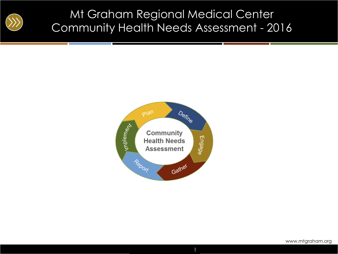

#### Mt Graham Regional Medical Center Community Health Needs Assessment - 2016



ww.eidebaildebaildebaildebaildebaildebaildebaildebaildebaildebaildebaildebaildebaildebaildebaildebaildebaildeb

1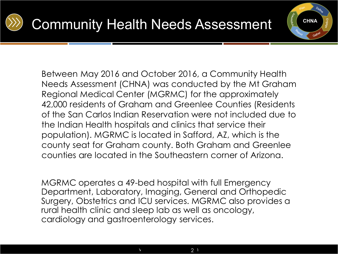

**CHNA**



MGRMC operates a 49-bed hospital with full Emergency Department, Laboratory, Imaging, General and Orthopedic Surgery, Obstetrics and ICU services. MGRMC also provides a rural health clinic and sleep lab as well as oncology, cardiology and gastroenterology services.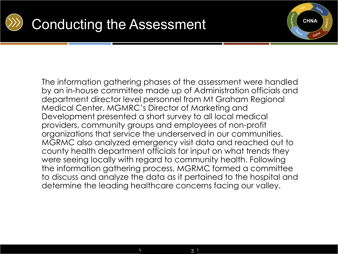



The information gathering phases of the assessment were handled by an in-house committee made up of Administration officials and department director level personnel from Mt Graham Regional Medical Center. MGMRC's Director of Marketing and Development presented a short survey to all local medical providers, community groups and employees of non-profit organizations that service the underserved in our communities. MGRMC also analyzed emergency visit data and reached out to county health department officials for input on what trends they were seeing locally with regard to community health. Following the information gathering process, MGRMC formed a committee to discuss and analyze the data as it pertained to the hospital and determine the leading healthcare concerns facing our valley.

 $\frac{v}{3}$  3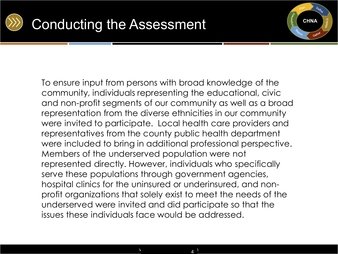



To ensure input from persons with broad knowledge of the community, individuals representing the educational, civic and non-profit segments of our community as well as a broad representation from the diverse ethnicities in our community were invited to participate. Local health care providers and representatives from the county public health department were included to bring in additional professional perspective. Members of the underserved population were not represented directly. However, individuals who specifically serve these populations through government agencies, hospital clinics for the uninsured or underinsured, and nonprofit organizations that solely exist to meet the needs of the underserved were invited and did participate so that the issues these individuals face would be addressed.

 $\frac{v}{4}$  4 1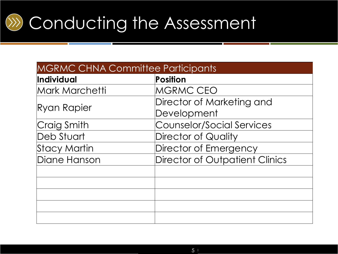

| <b>MGRMC CHNA Committee Participants</b> |                                       |
|------------------------------------------|---------------------------------------|
| Individual                               | Position                              |
| Mark Marchetti                           | MGRMC CEO                             |
| Ryan Rapier                              | Director of Marketing and             |
|                                          | Development                           |
| Craig Smith                              | Counselor/Social Services             |
| Deb Stuart                               | Director of Quality                   |
| <b>Stacy Martin</b>                      | Director of Emergency                 |
| Diane Hanson                             | <b>Director of Outpatient Clinics</b> |
|                                          |                                       |
|                                          |                                       |
|                                          |                                       |
|                                          |                                       |
|                                          |                                       |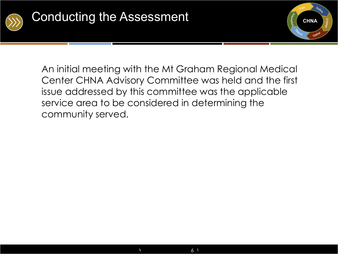



An initial meeting with the Mt Graham Regional Medical Center CHNA Advisory Committee was held and the first issue addressed by this committee was the applicable service area to be considered in determining the community served.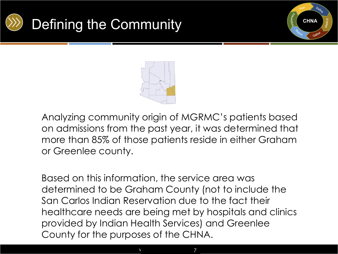

## Defining the Community



Analyzing community origin of MGRMC's patients based on admissions from the past year, it was determined that more than 85% of those patients reside in either Graham or Greenlee county.

Based on this information, the service area was determined to be Graham County (not to include the San Carlos Indian Reservation due to the fact their healthcare needs are being met by hospitals and clinics provided by Indian Health Services) and Greenlee County for the purposes of the CHNA.

 $\nu$  and  $\tau$ 

7

**CHNA**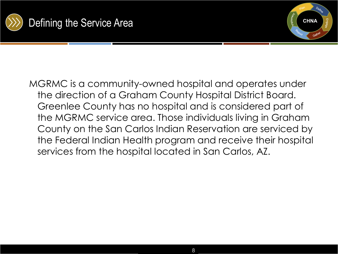



MGRMC is a community-owned hospital and operates under the direction of a Graham County Hospital District Board. Greenlee County has no hospital and is considered part of the MGRMC service area. Those individuals living in Graham County on the San Carlos Indian Reservation are serviced by the Federal Indian Health program and receive their hospital services from the hospital located in San Carlos, AZ.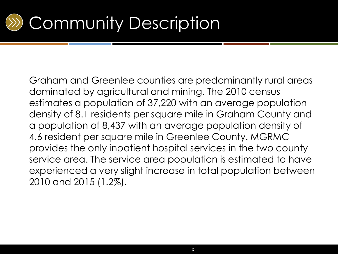# Community Description

Graham and Greenlee counties are predominantly rural areas dominated by agricultural and mining. The 2010 census estimates a population of 37,220 with an average population density of 8.1 residents per square mile in Graham County and a population of 8,437 with an average population density of 4.6 resident per square mile in Greenlee County. MGRMC provides the only inpatient hospital services in the two county service area. The service area population is estimated to have experienced a very slight increase in total population between 2010 and 2015 (1.2%).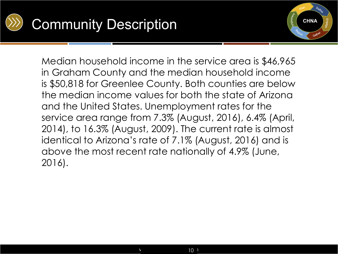



Median household income in the service area is \$46,965 in Graham County and the median household income is \$50,818 for Greenlee County. Both counties are below the median income values for both the state of Arizona and the United States. Unemployment rates for the service area range from 7.3% (August, 2016), 6.4% (April, 2014), to 16.3% (August, 2009). The current rate is almost identical to Arizona's rate of 7.1% (August, 2016) and is above the most recent rate nationally of 4.9% (June, 2016).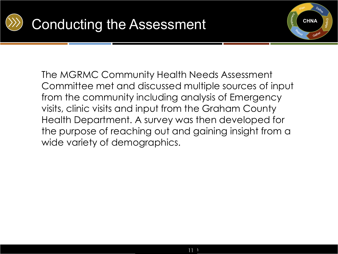



The MGRMC Community Health Needs Assessment Committee met and discussed multiple sources of input from the community including analysis of Emergency visits, clinic visits and input from the Graham County Health Department. A survey was then developed for the purpose of reaching out and gaining insight from a wide variety of demographics.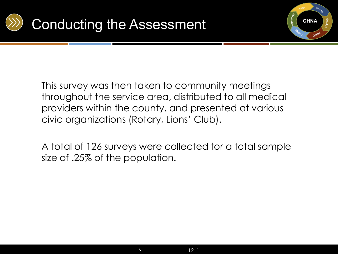



This survey was then taken to community meetings throughout the service area, distributed to all medical providers within the county, and presented at various civic organizations (Rotary, Lions' Club).

A total of 126 surveys were collected for a total sample size of .25% of the population.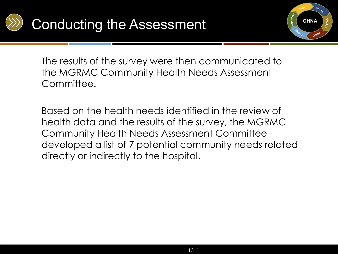



The results of the survey were then communicated to the MGRMC Community Health Needs Assessment Committee.

Based on the health needs identified in the review of health data and the results of the survey, the MGRMC Community Health Needs Assessment Committee developed a list of 7 potential community needs related directly or indirectly to the hospital.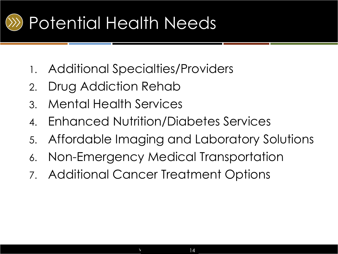## Potential Health Needs

- 1. Additional Specialties/Providers
- 2. Drug Addiction Rehab
- 3. Mental Health Services
- 4. Enhanced Nutrition/Diabetes Services
- 5. Affordable Imaging and Laboratory Solutions
- 6. Non-Emergency Medical Transportation
- 7. Additional Cancer Treatment Options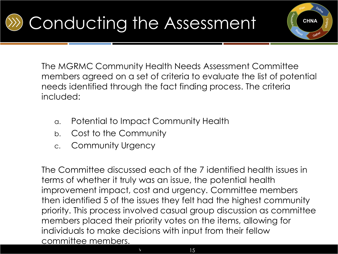The MGRMC Community Health Needs Assessment Committee members agreed on a set of criteria to evaluate the list of potential needs identified through the fact finding process. The criteria included:

**CHNA**

- a. Potential to Impact Community Health
- b. Cost to the Community
- c. Community Urgency

The Committee discussed each of the 7 identified health issues in terms of whether it truly was an issue, the potential health improvement impact, cost and urgency. Committee members then identified 5 of the issues they felt had the highest community priority. This process involved casual group discussion as committee members placed their priority votes on the items, allowing for individuals to make decisions with input from their fellow committee members.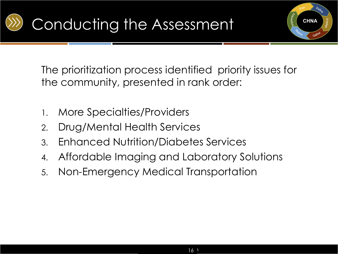



The prioritization process identified priority issues for the community, presented in rank order:

- 1. More Specialties/Providers
- 2. Drug/Mental Health Services
- 3. Enhanced Nutrition/Diabetes Services
- 4. Affordable Imaging and Laboratory Solutions
- 5. Non-Emergency Medical Transportation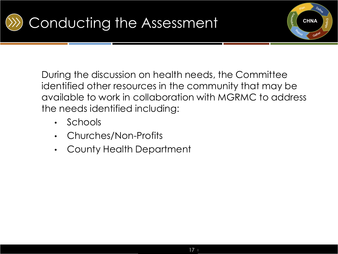



During the discussion on health needs, the Committee identified other resources in the community that may be available to work in collaboration with MGRMC to address the needs identified including:

- Schools
- Churches/Non-Profits
- County Health Department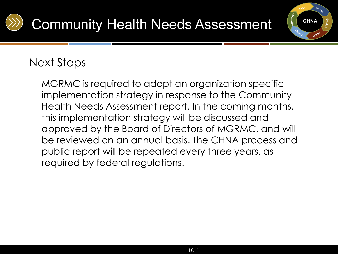

**CHNA**

## Next Steps

MGRMC is required to adopt an organization specific implementation strategy in response to the Community Health Needs Assessment report. In the coming months, this implementation strategy will be discussed and approved by the Board of Directors of MGRMC, and will be reviewed on an annual basis. The CHNA process and public report will be repeated every three years, as required by federal regulations.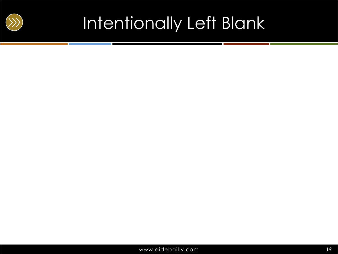

## Intentionally Left Blank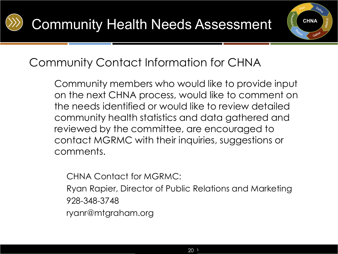



## Community Contact Information for CHNA

Community members who would like to provide input on the next CHNA process, would like to comment on the needs identified or would like to review detailed community health statistics and data gathered and reviewed by the committee, are encouraged to contact MGRMC with their inquiries, suggestions or comments.

CHNA Contact for MGRMC: Ryan Rapier, Director of Public Relations and Marketing 928-348-3748 ryanr@mtgraham.org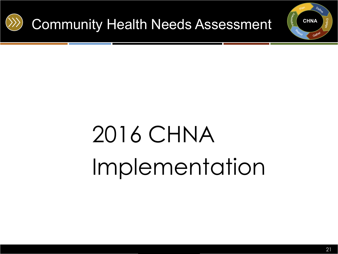

# 2016 CHNA Implementation

**CHNA**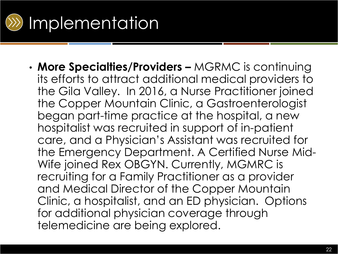

• **More Specialties/Providers –** MGRMC is continuing its efforts to attract additional medical providers to the Gila Valley. In 2016, a Nurse Practitioner joined the Copper Mountain Clinic, a Gastroenterologist began part-time practice at the hospital, a new hospitalist was recruited in support of in-patient care, and a Physician's Assistant was recruited for the Emergency Department. A Certified Nurse Mid-Wife joined Rex OBGYN. Currently, MGMRC is recruiting for a Family Practitioner as a provider and Medical Director of the Copper Mountain Clinic, a hospitalist, and an ED physician. Options for additional physician coverage through telemedicine are being explored.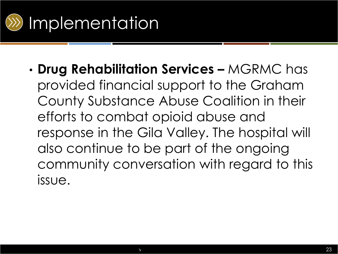

• **Drug Rehabilitation Services –** MGRMC has provided financial support to the Graham County Substance Abuse Coalition in their efforts to combat opioid abuse and response in the Gila Valley. The hospital will also continue to be part of the ongoing community conversation with regard to this issue.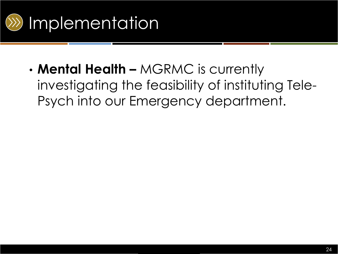

• **Mental Health –** MGRMC is currently investigating the feasibility of instituting Tele-Psych into our Emergency department.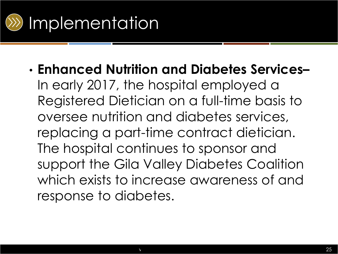

• **Enhanced Nutrition and Diabetes Services–**

In early 2017, the hospital employed a Registered Dietician on a full-time basis to oversee nutrition and diabetes services, replacing a part-time contract dietician. The hospital continues to sponsor and support the Gila Valley Diabetes Coalition which exists to increase awareness of and response to diabetes.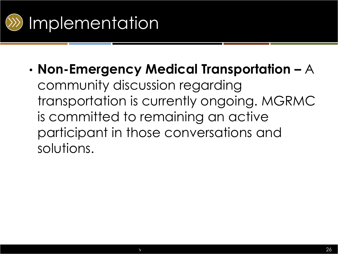

• **Non-Emergency Medical Transportation –** A community discussion regarding transportation is currently ongoing. MGRMC is committed to remaining an active participant in those conversations and solutions.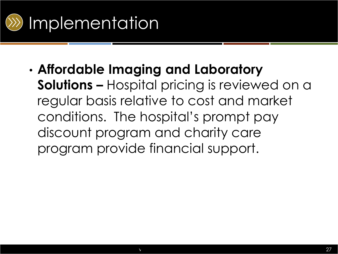

• **Affordable Imaging and Laboratory Solutions –** Hospital pricing is reviewed on a regular basis relative to cost and market conditions. The hospital's prompt pay discount program and charity care program provide financial support.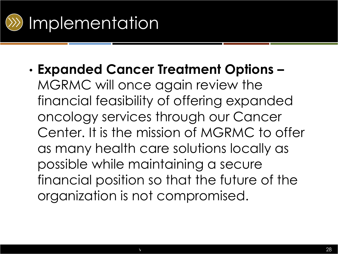

## • **Expanded Cancer Treatment Options –**

MGRMC will once again review the financial feasibility of offering expanded oncology services through our Cancer Center. It is the mission of MGRMC to offer as many health care solutions locally as possible while maintaining a secure financial position so that the future of the organization is not compromised.